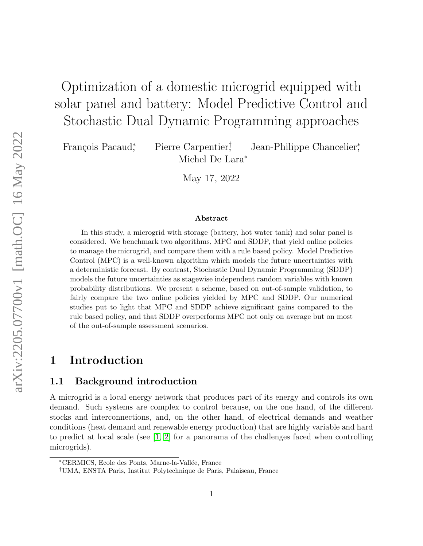# Optimization of a domestic microgrid equipped with solar panel and battery: Model Predictive Control and Stochastic Dual Dynamic Programming approaches

François Pacaud<sup>\*</sup>,

, Pierre Carpentier† , Jean-Philippe Chancelier<sup>∗</sup> , Michel De Lara<sup>∗</sup>

May 17, 2022

#### Abstract

In this study, a microgrid with storage (battery, hot water tank) and solar panel is considered. We benchmark two algorithms, MPC and SDDP, that yield online policies to manage the microgrid, and compare them with a rule based policy. Model Predictive Control (MPC) is a well-known algorithm which models the future uncertainties with a deterministic forecast. By contrast, Stochastic Dual Dynamic Programming (SDDP) models the future uncertainties as stagewise independent random variables with known probability distributions. We present a scheme, based on out-of-sample validation, to fairly compare the two online policies yielded by MPC and SDDP. Our numerical studies put to light that MPC and SDDP achieve significant gains compared to the rule based policy, and that SDDP overperforms MPC not only on average but on most of the out-of-sample assessment scenarios.

# 1 Introduction

# 1.1 Background introduction

A microgrid is a local energy network that produces part of its energy and controls its own demand. Such systems are complex to control because, on the one hand, of the different stocks and interconnections, and, on the other hand, of electrical demands and weather conditions (heat demand and renewable energy production) that are highly variable and hard to predict at local scale (see [\[1,](#page-19-0) [2\]](#page-19-1) for a panorama of the challenges faced when controlling microgrids).

<sup>∗</sup>CERMICS, Ecole des Ponts, Marne-la-Vall´ee, France

<sup>†</sup>UMA, ENSTA Paris, Institut Polytechnique de Paris, Palaiseau, France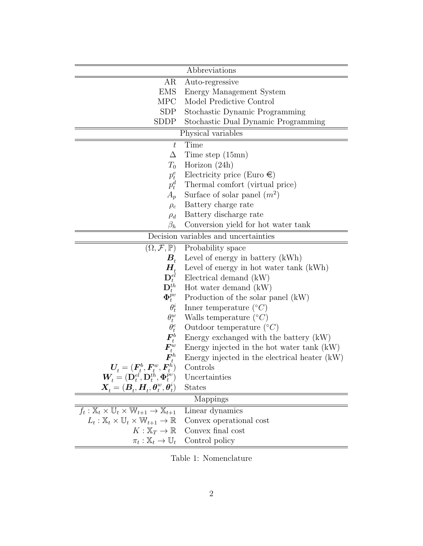|                                                                                                                           | Abbreviations                                                                                                             |  |  |  |
|---------------------------------------------------------------------------------------------------------------------------|---------------------------------------------------------------------------------------------------------------------------|--|--|--|
| AR                                                                                                                        | Auto-regressive                                                                                                           |  |  |  |
| <b>EMS</b>                                                                                                                | Energy Management System                                                                                                  |  |  |  |
| <b>MPC</b>                                                                                                                | Model Predictive Control                                                                                                  |  |  |  |
| <b>SDP</b>                                                                                                                |                                                                                                                           |  |  |  |
| <b>SDDP</b>                                                                                                               | Stochastic Dynamic Programming                                                                                            |  |  |  |
|                                                                                                                           | Stochastic Dual Dynamic Programming                                                                                       |  |  |  |
| Physical variables                                                                                                        |                                                                                                                           |  |  |  |
| $\bar{t}$                                                                                                                 | Time                                                                                                                      |  |  |  |
| Δ                                                                                                                         | Time step $(15mn)$                                                                                                        |  |  |  |
| $T_0$                                                                                                                     | Horizon $(24h)$                                                                                                           |  |  |  |
| $p_t^e$                                                                                                                   | Electricity price (Euro $\in)$                                                                                            |  |  |  |
| $p_t^d$                                                                                                                   | Thermal comfort (virtual price)                                                                                           |  |  |  |
| $A_p$                                                                                                                     | Surface of solar panel $(m^2)$                                                                                            |  |  |  |
| $\rho_c$                                                                                                                  | Battery charge rate                                                                                                       |  |  |  |
| $\rho_d$                                                                                                                  | Battery discharge rate                                                                                                    |  |  |  |
| $\beta_h$                                                                                                                 | Conversion yield for hot water tank                                                                                       |  |  |  |
| Decision variables and uncertainties                                                                                      |                                                                                                                           |  |  |  |
|                                                                                                                           | $(\Omega, \mathcal{F}, \mathbb{P})$ Probability space                                                                     |  |  |  |
| $B_{\scriptscriptstyle\! t}$                                                                                              | Level of energy in battery (kWh)                                                                                          |  |  |  |
| $H_{_t}$                                                                                                                  | Level of energy in hot water tank (kWh)                                                                                   |  |  |  |
| $\mathbf{D}_t^{e\widetilde{l}}$                                                                                           | Electrical demand (kW)                                                                                                    |  |  |  |
| $\mathbf{D}_t^{th}$                                                                                                       | Hot water demand $(kW)$                                                                                                   |  |  |  |
| $\Phi_t^{\check{\rho}v}$                                                                                                  | Production of the solar panel (kW)                                                                                        |  |  |  |
|                                                                                                                           | Inner temperature $({}^{\circ}C)$                                                                                         |  |  |  |
|                                                                                                                           | Walls temperature $({}^{\circ}C)$                                                                                         |  |  |  |
| $\begin{array}{c} \theta_t^i \ \theta_t^w \ \theta_t^\epsilon \ \pmb{F}_t^b \end{array}$                                  | Outdoor temperature $({}^{\circ}C)$                                                                                       |  |  |  |
|                                                                                                                           | Energy exchanged with the battery (kW)                                                                                    |  |  |  |
| $\overset{\_}{F^w_t}_{t}$                                                                                                 | Energy injected in the hot water tank (kW)                                                                                |  |  |  |
|                                                                                                                           | Energy injected in the electrical heater (kW)                                                                             |  |  |  |
| $\boldsymbol{U}_{\!t} = (\boldsymbol{F}_{\!t}^b, \boldsymbol{F}_{\!t}^w, \boldsymbol{F}_{\!t}^h)$                         | Controls                                                                                                                  |  |  |  |
|                                                                                                                           | $\boldsymbol{W}_{\!t}=(\mathbf{D}^{el}_t, \mathbf{D}^{t \check{h}}_t, \boldsymbol{\Phi}^{\check{pv}}_t)$<br>Uncertainties |  |  |  |
| $\boldsymbol{X}_{t} = (\boldsymbol{B}_{t}, \boldsymbol{H}_{t}, \boldsymbol{\theta}_{t}^{w}, \boldsymbol{\theta}_{t}^{v})$ | <b>States</b>                                                                                                             |  |  |  |
|                                                                                                                           | Mappings                                                                                                                  |  |  |  |
| $f_t: \mathbb{X}_t \times \mathbb{U}_t \times \mathbb{W}_{t+1} \rightarrow \mathbb{X}_{t+1}$                              | Linear dynamics                                                                                                           |  |  |  |
| $L_t: \mathbb{X}_t \times \mathbb{U}_t \times \mathbb{W}_{t+1} \to \mathbb{R}$                                            | Convex operational cost                                                                                                   |  |  |  |
| $K:\mathbb{X}_T\to\mathbb{R}$                                                                                             | Convex final cost                                                                                                         |  |  |  |
| $\pi_t : \mathbb{X}_t \to \mathbb{U}_t$                                                                                   | Control policy                                                                                                            |  |  |  |

Table 1: Nomenclature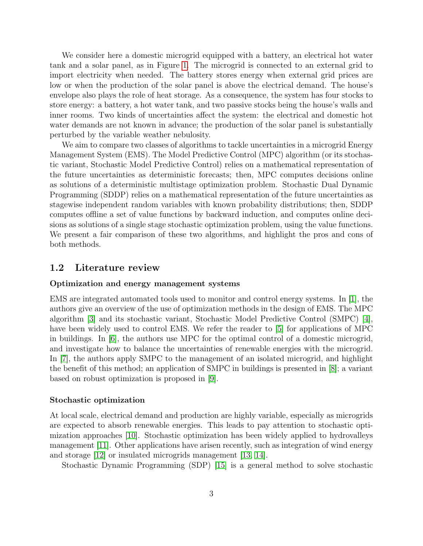We consider here a domestic microgrid equipped with a battery, an electrical hot water tank and a solar panel, as in Figure [1.](#page-4-0) The microgrid is connected to an external grid to import electricity when needed. The battery stores energy when external grid prices are low or when the production of the solar panel is above the electrical demand. The house's envelope also plays the role of heat storage. As a consequence, the system has four stocks to store energy: a battery, a hot water tank, and two passive stocks being the house's walls and inner rooms. Two kinds of uncertainties affect the system: the electrical and domestic hot water demands are not known in advance; the production of the solar panel is substantially perturbed by the variable weather nebulosity.

We aim to compare two classes of algorithms to tackle uncertainties in a microgrid Energy Management System (EMS). The Model Predictive Control (MPC) algorithm (or its stochastic variant, Stochastic Model Predictive Control) relies on a mathematical representation of the future uncertainties as deterministic forecasts; then, MPC computes decisions online as solutions of a deterministic multistage optimization problem. Stochastic Dual Dynamic Programming (SDDP) relies on a mathematical representation of the future uncertainties as stagewise independent random variables with known probability distributions; then, SDDP computes offline a set of value functions by backward induction, and computes online decisions as solutions of a single stage stochastic optimization problem, using the value functions. We present a fair comparison of these two algorithms, and highlight the pros and cons of both methods.

### <span id="page-2-0"></span>1.2 Literature review

### Optimization and energy management systems

EMS are integrated automated tools used to monitor and control energy systems. In [\[1\]](#page-19-0), the authors give an overview of the use of optimization methods in the design of EMS. The MPC algorithm [\[3\]](#page-19-2) and its stochastic variant, Stochastic Model Predictive Control (SMPC) [\[4\]](#page-19-3), have been widely used to control EMS. We refer the reader to [\[5\]](#page-19-4) for applications of MPC in buildings. In [\[6\]](#page-19-5), the authors use MPC for the optimal control of a domestic microgrid, and investigate how to balance the uncertainties of renewable energies with the microgrid. In [\[7\]](#page-19-6), the authors apply SMPC to the management of an isolated microgrid, and highlight the benefit of this method; an application of SMPC in buildings is presented in [\[8\]](#page-19-7); a variant based on robust optimization is proposed in [\[9\]](#page-20-0).

#### Stochastic optimization

At local scale, electrical demand and production are highly variable, especially as microgrids are expected to absorb renewable energies. This leads to pay attention to stochastic optimization approaches [\[10\]](#page-20-1). Stochastic optimization has been widely applied to hydrovalleys management [\[11\]](#page-20-2). Other applications have arisen recently, such as integration of wind energy and storage [\[12\]](#page-20-3) or insulated microgrids management [\[13,](#page-20-4) [14\]](#page-20-5).

Stochastic Dynamic Programming (SDP) [\[15\]](#page-20-6) is a general method to solve stochastic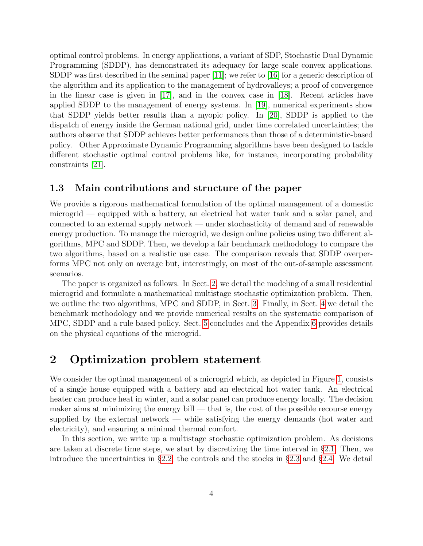optimal control problems. In energy applications, a variant of SDP, Stochastic Dual Dynamic Programming (SDDP), has demonstrated its adequacy for large scale convex applications. SDDP was first described in the seminal paper [\[11\]](#page-20-2); we refer to [\[16\]](#page-20-7) for a generic description of the algorithm and its application to the management of hydrovalleys; a proof of convergence in the linear case is given in [\[17\]](#page-20-8), and in the convex case in [\[18\]](#page-20-9). Recent articles have applied SDDP to the management of energy systems. In [\[19\]](#page-20-10), numerical experiments show that SDDP yields better results than a myopic policy. In [\[20\]](#page-20-11), SDDP is applied to the dispatch of energy inside the German national grid, under time correlated uncertainties; the authors observe that SDDP achieves better performances than those of a deterministic-based policy. Other Approximate Dynamic Programming algorithms have been designed to tackle different stochastic optimal control problems like, for instance, incorporating probability constraints [\[21\]](#page-20-12).

# 1.3 Main contributions and structure of the paper

We provide a rigorous mathematical formulation of the optimal management of a domestic microgrid — equipped with a battery, an electrical hot water tank and a solar panel, and connected to an external supply network — under stochasticity of demand and of renewable energy production. To manage the microgrid, we design online policies using two different algorithms, MPC and SDDP. Then, we develop a fair benchmark methodology to compare the two algorithms, based on a realistic use case. The comparison reveals that SDDP overperforms MPC not only on average but, interestingly, on most of the out-of-sample assessment scenarios.

The paper is organized as follows. In Sect. [2,](#page-3-0) we detail the modeling of a small residential microgrid and formulate a mathematical multistage stochastic optimization problem. Then, we outline the two algorithms, MPC and SDDP, in Sect. [3.](#page-8-0) Finally, in Sect. [4](#page-11-0) we detail the benchmark methodology and we provide numerical results on the systematic comparison of MPC, SDDP and a rule based policy. Sect. [5](#page-18-0) concludes and the Appendix [6](#page-21-0) provides details on the physical equations of the microgrid.

# <span id="page-3-0"></span>2 Optimization problem statement

We consider the optimal management of a microgrid which, as depicted in Figure [1,](#page-4-0) consists of a single house equipped with a battery and an electrical hot water tank. An electrical heater can produce heat in winter, and a solar panel can produce energy locally. The decision maker aims at minimizing the energy bill — that is, the cost of the possible recourse energy supplied by the external network — while satisfying the energy demands (hot water and electricity), and ensuring a minimal thermal comfort.

In this section, we write up a multistage stochastic optimization problem. As decisions are taken at discrete time steps, we start by discretizing the time interval in  $\S2.1$ . Then, we introduce the uncertainties in §[2.2,](#page-4-2) the controls and the stocks in §[2.3](#page-5-0) and §[2.4.](#page-6-0) We detail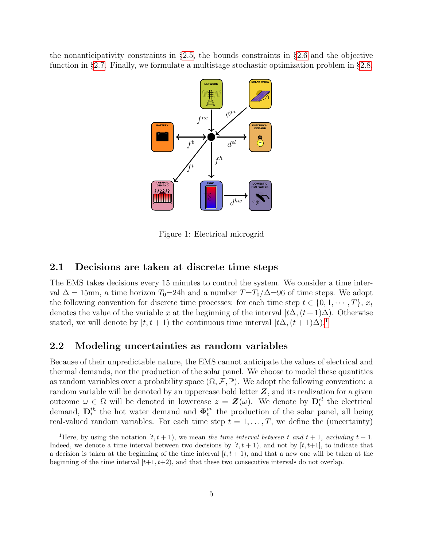the nonanticipativity constraints in §[2.5,](#page-6-1) the bounds constraints in §[2.6](#page-6-2) and the objective function in §[2.7.](#page-7-0) Finally, we formulate a multistage stochastic optimization problem in §[2.8.](#page-8-1)



<span id="page-4-0"></span>Figure 1: Electrical microgrid

# <span id="page-4-1"></span>2.1 Decisions are taken at discrete time steps

The EMS takes decisions every 15 minutes to control the system. We consider a time interval  $\Delta = 15$ mn, a time horizon  $T_0=24$ h and a number  $T=T_0/\Delta=96$  of time steps. We adopt the following convention for discrete time processes: for each time step  $t \in \{0, 1, \dots, T\}, x_t$ denotes the value of the variable x at the beginning of the interval  $[t\Delta, (t+1)\Delta)$ . Otherwise stated, we will denote by  $[t, t + 1)$  $[t, t + 1)$  $[t, t + 1)$  the continuous time interval  $[t\Delta, (t + 1)\Delta)^{1}$ .

# <span id="page-4-2"></span>2.2 Modeling uncertainties as random variables

Because of their unpredictable nature, the EMS cannot anticipate the values of electrical and thermal demands, nor the production of the solar panel. We choose to model these quantities as random variables over a probability space  $(\Omega, \mathcal{F}, \mathbb{P})$ . We adopt the following convention: a random variable will be denoted by an uppercase bold letter  $Z$ , and its realization for a given outcome  $\omega \in \Omega$  will be denoted in lowercase  $z = \mathbf{Z}(\omega)$ . We denote by  $\mathbf{D}_t^{el}$  the electrical demand,  $\mathbf{D}_t^{th}$  the hot water demand and  $\mathbf{\Phi}_t^{pv}$  $t_t^{pv}$  the production of the solar panel, all being real-valued random variables. For each time step  $t = 1, \ldots, T$ , we define the (uncertainty)

<span id="page-4-3"></span><sup>&</sup>lt;sup>1</sup>Here, by using the notation  $[t, t + 1)$ , we mean the time interval between t and  $t + 1$ , excluding  $t + 1$ . Indeed, we denote a time interval between two decisions by  $[t, t + 1)$ , and not by  $[t, t+1]$ , to indicate that a decision is taken at the beginning of the time interval  $[t, t + 1)$ , and that a new one will be taken at the beginning of the time interval  $[t+1, t+2)$ , and that these two consecutive intervals do not overlap.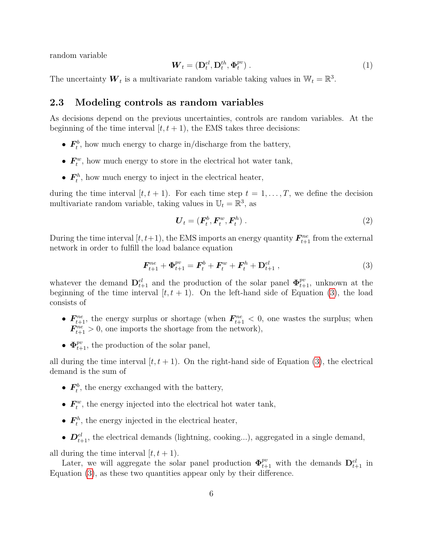random variable

<span id="page-5-2"></span>
$$
\boldsymbol{W}_t = (\mathbf{D}_t^{el}, \mathbf{D}_t^{th}, \boldsymbol{\Phi}_t^{pv}) \tag{1}
$$

The uncertainty  $\boldsymbol{W}_t$  is a multivariate random variable taking values in  $\mathbb{W}_t = \mathbb{R}^3$ .

# <span id="page-5-0"></span>2.3 Modeling controls as random variables

As decisions depend on the previous uncertainties, controls are random variables. At the beginning of the time interval  $[t, t + 1)$ , the EMS takes three decisions:

- $\bullet$   $\textbf{\textit{F}}_{t}^{b}$  $t<sub>t</sub>$ , how much energy to charge in/discharge from the battery,
- $\bullet$   $\mathbf{F}^w_t$  $t_t^w$ , how much energy to store in the electrical hot water tank,
- $\bullet$   $\textbf{\textit{F}}_{\textit{t}}^{h}$  $t<sub>t</sub><sup>th</sup>$ , how much energy to inject in the electrical heater,

during the time interval  $[t, t + 1)$ . For each time step  $t = 1, \ldots, T$ , we define the decision multivariate random variable, taking values in  $\mathbb{U}_t = \mathbb{R}^3$ , as

$$
\boldsymbol{U}_t = (\boldsymbol{F}_t^b, \boldsymbol{F}_t^w, \boldsymbol{F}_t^h) \,. \tag{2}
$$

During the time interval  $[t, t+1)$ , the EMS imports an energy quantity  $\mathbf{F}_{t+1}^{ne}$  from the external network in order to fulfill the load balance equation

<span id="page-5-1"></span>
$$
\boldsymbol{F}_{t+1}^{ne} + \boldsymbol{\Phi}_{t+1}^{pv} = \boldsymbol{F}_t^b + \boldsymbol{F}_t^w + \boldsymbol{F}_t^h + \mathbf{D}_{t+1}^{el} \;, \tag{3}
$$

whatever the demand  $\mathbf{D}_{t+1}^{el}$  and the production of the solar panel  $\mathbf{\Phi}_{t+1}^{pv}$ , unknown at the beginning of the time interval  $[t, t + 1)$ . On the left-hand side of Equation [\(3\)](#page-5-1), the load consists of

- $\mathbf{F}_{t+1}^{\text{ne}}$ , the energy surplus or shortage (when  $\mathbf{F}_{t+1}^{\text{ne}} < 0$ , one wastes the surplus; when  $\mathbf{F}_{t+1}^{ne} > 0$ , one imports the shortage from the network),
- $\Phi_{t+1}^{pv}$ , the production of the solar panel,

all during the time interval  $[t, t + 1)$ . On the right-hand side of Equation [\(3\)](#page-5-1), the electrical demand is the sum of

- $\bullet$   $\textbf{\textit{F}}_{\textit{t}}^{\textit{b}}$  $t<sub>t</sub><sup>t</sup>$ , the energy exchanged with the battery,
- $\bullet$   $\mathbf{F}_{t}^{w}$  $t_t^w$ , the energy injected into the electrical hot water tank,
- $\bullet$   $\textbf{\textit{F}}_{\textit{t}}^{\textit{h}}$  $t<sub>t</sub><sup>t</sup>$ , the energy injected in the electrical heater,
- $D_{t+1}^{el}$ , the electrical demands (lightning, cooking...), aggregated in a single demand,

all during the time interval  $[t, t + 1)$ .

Later, we will aggregate the solar panel production  $\mathbf{\Phi}_{t+1}^{pv}$  with the demands  $\mathbf{D}_{t+1}^{el}$  in Equation [\(3\)](#page-5-1), as these two quantities appear only by their difference.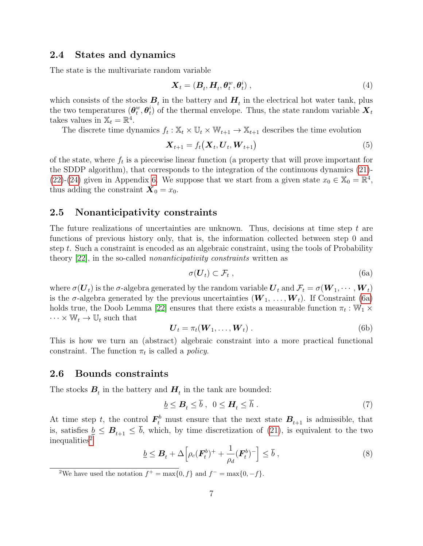### <span id="page-6-0"></span>2.4 States and dynamics

The state is the multivariate random variable

<span id="page-6-5"></span>
$$
\mathbf{X}_t = (\mathbf{B}_t, \mathbf{H}_t, \boldsymbol{\theta}_t^w, \boldsymbol{\theta}_t^i), \qquad (4)
$$

which consists of the stocks  $B_t$  in the battery and  $H_t$  in the electrical hot water tank, plus the two temperatures  $(\boldsymbol{\theta}_{t}^{w})$  $_{t}^{w},\boldsymbol{\theta}_{t}^{i}$  $_{t}^{i}$ ) of the thermal envelope. Thus, the state random variable  $\boldsymbol{X}_{t}$ takes values in  $\mathbb{X}_t = \mathbb{R}^4$ .

The discrete time dynamics  $f_t : \mathbb{X}_t \times \mathbb{U}_t \times \mathbb{W}_{t+1} \to \mathbb{X}_{t+1}$  describes the time evolution

<span id="page-6-6"></span>
$$
\boldsymbol{X}_{t+1} = f_t(\boldsymbol{X}_t, \boldsymbol{U}_t, \boldsymbol{W}_{t+1})
$$
\n<sup>(5)</sup>

of the state, where  $f_t$  is a piecewise linear function (a property that will prove important for the SDDP algorithm), that corresponds to the integration of the continuous dynamics [\(21\)](#page-22-0)- [\(22\)](#page-22-1)-[\(24\)](#page-22-2) given in Appendix [6.](#page-21-0) We suppose that we start from a given state  $x_0 \in \mathbb{X}_0 = \mathbb{R}^4$ , thus adding the constraint  $\mathbf{X}_0 = x_0$ .

# <span id="page-6-1"></span>2.5 Nonanticipativity constraints

The future realizations of uncertainties are unknown. Thus, decisions at time step  $t$  are functions of previous history only, that is, the information collected between step 0 and step t. Such a constraint is encoded as an algebraic constraint, using the tools of Probability theory [\[22\]](#page-21-1), in the so-called nonanticipativity constraints written as

<span id="page-6-3"></span>
$$
\sigma(\boldsymbol{U}_t) \subset \mathcal{F}_t \;, \tag{6a}
$$

where  $\sigma(\bm{U}_t)$  is the  $\sigma$ -algebra generated by the random variable  $\bm{U}_t$  and  $\mathcal{F}_t = \sigma(\bm{W}_1, \cdots, \bm{W}_t)$ is the  $\sigma$ -algebra generated by the previous uncertainties  $(\boldsymbol{W}_1, \ldots, \boldsymbol{W}_t)$ . If Constraint [\(6a\)](#page-6-3) holds true, the Doob Lemma [\[22\]](#page-21-1) ensures that there exists a measurable function  $\pi_t : \mathbb{W}_1 \times$  $\cdots \times \mathbb{W}_t \to \mathbb{U}_t$  such that

$$
\boldsymbol{U}_t = \pi_t(\boldsymbol{W}_1, \dots, \boldsymbol{W}_t) \tag{6b}
$$

This is how we turn an (abstract) algebraic constraint into a more practical functional constraint. The function  $\pi_t$  is called a *policy*.

### <span id="page-6-2"></span>2.6 Bounds constraints

The stocks  $B_t$  in the battery and  $H_t$  in the tank are bounded:

$$
\underline{b} \leq \boldsymbol{B}_t \leq \overline{b} \ , \ \ 0 \leq \boldsymbol{H}_t \leq \overline{h} \ . \tag{7}
$$

At time step t, the control  $\mathbf{F}_t^b$  must ensure that the next state  $\mathbf{B}_{t+1}$  is admissible, that is, satisfies  $\underline{b} \leq \mathbf{B}_{t+1} \leq \overline{b}$ , which, by time discretization of [\(21\)](#page-22-0), is equivalent to the two inequalities<sup>[2](#page-6-4)</sup>

$$
\underline{b} \leq \boldsymbol{B}_t + \Delta \Big[ \rho_c(\boldsymbol{F}_t^b)^+ + \frac{1}{\rho_d} (\boldsymbol{F}_t^b)^- \Big] \leq \overline{b} \;, \tag{8}
$$

<span id="page-6-4"></span><sup>2</sup>We have used the notation  $f^+ = \max\{0, f\}$  and  $f^- = \max\{0, -f\}$ .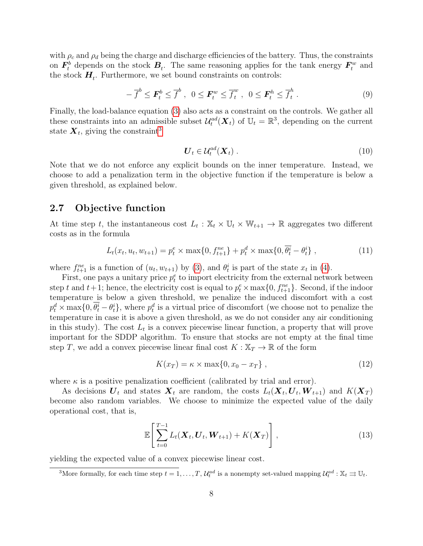with  $\rho_c$  and  $\rho_d$  being the charge and discharge efficiencies of the battery. Thus, the constraints on  $\bm{F}^b_t$  $t_t^b$  depends on the stock  $B_t$ . The same reasoning applies for the tank energy  $F_t^w$  $t^w$  and the stock  $H_t$ . Furthermore, we set bound constraints on controls:

$$
-\overline{f}^b \le \boldsymbol{F}_t^b \le \overline{f}^b \ , \ 0 \le \boldsymbol{F}_t^w \le \overline{f}_t^w \ , \ 0 \le \boldsymbol{F}_t^h \le \overline{f}_t^h \ . \tag{9}
$$

Finally, the load-balance equation [\(3\)](#page-5-1) also acts as a constraint on the controls. We gather all these constraints into an admissible subset  $\mathcal{U}^{ad}_{t}(\boldsymbol{X}_{t})$  of  $\mathbb{U}_{t} = \mathbb{R}^{3}$ , depending on the current state  $\boldsymbol{X}_t$ , giving the constraint<sup>[3](#page-7-1)</sup>

<span id="page-7-2"></span>
$$
\boldsymbol{U}_t \in \mathcal{U}_t^{ad}(\boldsymbol{X}_t) \tag{10}
$$

Note that we do not enforce any explicit bounds on the inner temperature. Instead, we choose to add a penalization term in the objective function if the temperature is below a given threshold, as explained below.

# <span id="page-7-0"></span>2.7 Objective function

At time step t, the instantaneous cost  $L_t : \mathbb{X}_t \times \mathbb{U}_t \times \mathbb{W}_{t+1} \to \mathbb{R}$  aggregates two different costs as in the formula

<span id="page-7-3"></span>
$$
L_t(x_t, u_t, w_{t+1}) = p_t^e \times \max\{0, f_{t+1}^{ne}\} + p_t^d \times \max\{0, \overline{\theta_t^i} - \theta_t^i\}, \qquad (11)
$$

where  $f_{t+1}^{ne}$  is a function of  $(u_t, w_{t+1})$  by [\(3\)](#page-5-1), and  $\theta_t^i$  is part of the state  $x_t$  in [\(4\)](#page-6-5).

First, one pays a unitary price  $p_t^e$  to import electricity from the external network between step t and  $t+1$ ; hence, the electricity cost is equal to  $p_t^e \times \max\{0, f_{t+1}^{ne}\}\$ . Second, if the indoor temperature is below a given threshold, we penalize the induced discomfort with a cost  $p_t^d \times \max\{0, \theta_t^i - \theta_t^i\},$  where  $p_t^d$  is a virtual price of discomfort (we choose not to penalize the temperature in case it is above a given threshold, as we do not consider any air conditioning in this study). The cost  $L_t$  is a convex piecewise linear function, a property that will prove important for the SDDP algorithm. To ensure that stocks are not empty at the final time step T, we add a convex piecewise linear final cost  $K : \mathbb{X}_T \to \mathbb{R}$  of the form

<span id="page-7-4"></span>
$$
K(x_T) = \kappa \times \max\{0, x_0 - x_T\},\qquad(12)
$$

where  $\kappa$  is a positive penalization coefficient (calibrated by trial and error).

As decisions  $U_t$  and states  $X_t$  are random, the costs  $L_t(X_t, U_t, W_{t+1})$  and  $K(X_T)$ become also random variables. We choose to minimize the expected value of the daily operational cost, that is,

$$
\mathbb{E}\left[\sum_{t=0}^{T-1} L_t(\boldsymbol{X}_t, \boldsymbol{U}_t, \boldsymbol{W}_{t+1}) + K(\boldsymbol{X}_T)\right],
$$
\n(13)

yielding the expected value of a convex piecewise linear cost.

<span id="page-7-1"></span><sup>3</sup>More formally, for each time step  $t = 1, ..., T$ ,  $\mathcal{U}_t^{ad}$  is a nonempty set-valued mapping  $\mathcal{U}_t^{ad}$  :  $\mathbb{X}_t \rightrightarrows \mathbb{U}_t$ .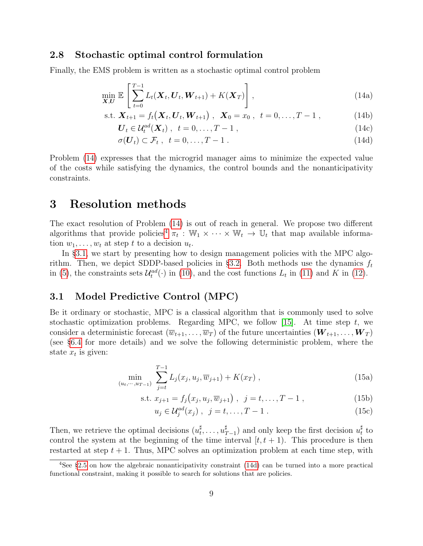# <span id="page-8-1"></span>2.8 Stochastic optimal control formulation

Finally, the EMS problem is written as a stochastic optimal control problem

$$
\min_{\mathbf{X},\mathbf{U}} \mathbb{E}\left[\sum_{t=0}^{T-1} L_t(\mathbf{X}_t, \mathbf{U}_t, \mathbf{W}_{t+1}) + K(\mathbf{X}_T)\right],
$$
\n(14a)

s.t. 
$$
\mathbf{X}_{t+1} = f_t(\mathbf{X}_t, \mathbf{U}_t, \mathbf{W}_{t+1}), \ \mathbf{X}_0 = x_0, \ t = 0, ..., T-1,
$$
 (14b)

<span id="page-8-2"></span>
$$
\boldsymbol{U}_t \in \mathcal{U}_t^{ad}(\boldsymbol{X}_t) \ , \ t = 0, \dots, T - 1 \ , \tag{14c}
$$

<span id="page-8-5"></span>
$$
\sigma(\boldsymbol{U}_t) \subset \mathcal{F}_t \ , \ t = 0, \dots, T - 1 \ . \tag{14d}
$$

Problem [\(14\)](#page-8-2) expresses that the microgrid manager aims to minimize the expected value of the costs while satisfying the dynamics, the control bounds and the nonanticipativity constraints.

# <span id="page-8-0"></span>3 Resolution methods

The exact resolution of Problem [\(14\)](#page-8-2) is out of reach in general. We propose two different algorithms that provide policies<sup>[4](#page-8-3)</sup>  $\pi_t$ :  $\mathbb{W}_1 \times \cdots \times \mathbb{W}_t \to \mathbb{U}_t$  that map available information  $w_1, \ldots, w_t$  at step t to a decision  $u_t$ .

In §[3.1,](#page-8-4) we start by presenting how to design management policies with the MPC algo-rithm. Then, we depict SDDP-based policies in §[3.2.](#page-9-0) Both methods use the dynamics  $f_t$ in [\(5\)](#page-6-6), the constraints sets  $\mathcal{U}^{ad}_{t}(\cdot)$  in [\(10\)](#page-7-2), and the cost functions  $L_{t}$  in [\(11\)](#page-7-3) and K in [\(12\)](#page-7-4).

# <span id="page-8-4"></span>3.1 Model Predictive Control (MPC)

Be it ordinary or stochastic, MPC is a classical algorithm that is commonly used to solve stochastic optimization problems. Regarding MPC, we follow [\[15\]](#page-20-6). At time step  $t$ , we consider a deterministic forecast  $(\overline{w}_{t+1}, \ldots, \overline{w}_T)$  of the future uncertainties  $(\bm{W}_{t+1}, \ldots, \bm{W}_T)$ (see §[6.4](#page-23-0) for more details) and we solve the following deterministic problem, where the state  $x_t$  is given:

<span id="page-8-6"></span>
$$
\min_{(u_t, \cdots, u_{T-1})} \sum_{j=t}^{T-1} L_j(x_j, u_j, \overline{w}_{j+1}) + K(x_T) ,
$$
\n(15a)

s.t. 
$$
x_{j+1} = f_j(x_j, u_j, \overline{w}_{j+1}), \ \ j = t, ..., T-1,
$$
 (15b)

$$
u_j \in \mathcal{U}_j^{ad}(x_j) , \ \ j = t, \dots, T - 1 . \tag{15c}
$$

Then, we retrieve the optimal decisions  $(u_t^{\sharp})$  $t^{\sharp}, \ldots, u_{\mathcal{I}}^{\sharp}$  $\sharp$ <sub>T−1</sub>) and only keep the first decision  $u_t^{\sharp}$  $\frac{1}{t}$  to control the system at the beginning of the time interval  $[t, t + 1)$ . This procedure is then restarted at step  $t + 1$ . Thus, MPC solves an optimization problem at each time step, with

<span id="page-8-3"></span><sup>4</sup>See §[2.5](#page-6-1) on how the algebraic nonanticipativity constraint [\(14d\)](#page-8-5) can be turned into a more practical functional constraint, making it possible to search for solutions that are policies.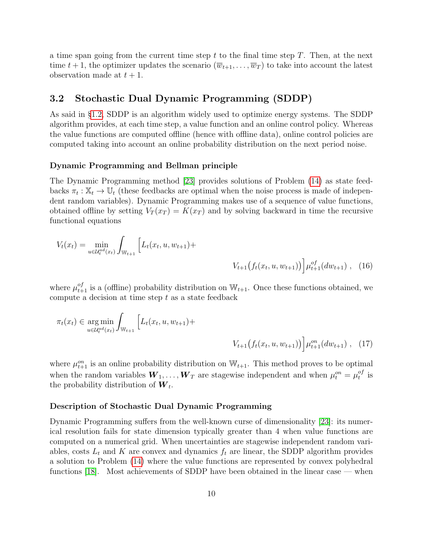a time span going from the current time step  $t$  to the final time step  $T$ . Then, at the next time  $t + 1$ , the optimizer updates the scenario  $(\overline{w}_{t+1}, \ldots, \overline{w}_T)$  to take into account the latest observation made at  $t + 1$ .

# 3.2 Stochastic Dual Dynamic Programming (SDDP)

As said in §[1.2,](#page-2-0) SDDP is an algorithm widely used to optimize energy systems. The SDDP algorithm provides, at each time step, a value function and an online control policy. Whereas the value functions are computed offline (hence with offline data), online control policies are computed taking into account an online probability distribution on the next period noise.

### Dynamic Programming and Bellman principle

The Dynamic Programming method [\[23\]](#page-21-2) provides solutions of Problem [\(14\)](#page-8-2) as state feedbacks  $\pi_t : \mathbb{X}_t \to \mathbb{U}_t$  (these feedbacks are optimal when the noise process is made of independent random variables). Dynamic Programming makes use of a sequence of value functions, obtained offline by setting  $V_T(x_T) = K(x_T)$  and by solving backward in time the recursive functional equations

<span id="page-9-1"></span>
$$
V_t(x_t) = \min_{u \in \mathcal{U}_t^{ad}(x_t)} \int_{\mathbb{W}_{t+1}} \left[ L_t(x_t, u, w_{t+1}) + \n\right] \n\left. \n\begin{aligned}\n&\quad V_{t+1}\left(f_t(x_t, u, w_{t+1})\right) \middle| \mu_{t+1}^{of}(dw_{t+1}), \quad (16)\n\end{aligned}\n\right]
$$

where  $\mu_{t+1}^{of}$  is a (offline) probability distribution on  $\mathbb{W}_{t+1}$ . Once these functions obtained, we compute a decision at time step  $t$  as a state feedback

<span id="page-9-2"></span>
$$
\pi_t(x_t) \in \underset{u \in \mathcal{U}_t^{ad}(x_t)}{\arg \min} \int_{\mathbb{W}_{t+1}} \left[ L_t(x_t, u, w_{t+1}) + \frac{\left[ L_t(x_t, u, w_{t+1}) + \frac{\left[ L_t(x_t, u, w_{t+1}) \right] - \left[ L_t(x_t, u, w_{t+1}) \right] \right] \mu_{t+1}^{on}(dw_{t+1})}{V_{t+1}(f_t(x_t, u, w_{t+1}))} \right] d\mu_t^{on}(dw_{t+1}), \quad (17)
$$

where  $\mu_{t+1}^{on}$  is an online probability distribution on  $\mathbb{W}_{t+1}$ . This method proves to be optimal when the random variables  $\boldsymbol{W}_1, \ldots, \boldsymbol{W}_T$  are stagewise independent and when  $\mu_t^{on} = \mu_t^{of}$  $_t^{\sigma f}$  is the probability distribution of  $W_t$ .

#### <span id="page-9-0"></span>Description of Stochastic Dual Dynamic Programming

Dynamic Programming suffers from the well-known curse of dimensionality [\[23\]](#page-21-2): its numerical resolution fails for state dimension typically greater than 4 when value functions are computed on a numerical grid. When uncertainties are stagewise independent random variables, costs  $L_t$  and K are convex and dynamics  $f_t$  are linear, the SDDP algorithm provides a solution to Problem [\(14\)](#page-8-2) where the value functions are represented by convex polyhedral functions [\[18\]](#page-20-9). Most achievements of SDDP have been obtained in the linear case — when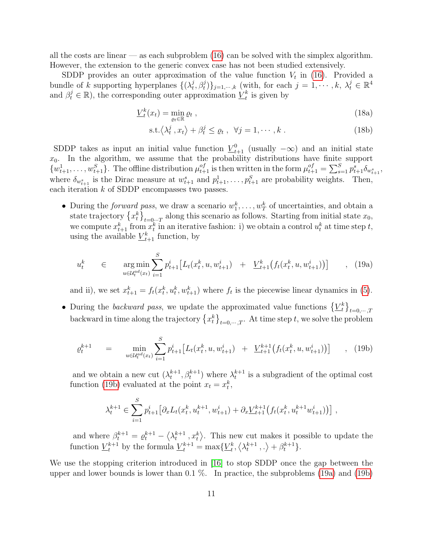all the costs are linear — as each subproblem  $(16)$  can be solved with the simplex algorithm. However, the extension to the generic convex case has not been studied extensively.

SDDP provides an outer approximation of the value function  $V_t$  in [\(16\)](#page-9-1). Provided a bundle of k supporting hyperplanes  $\{(\lambda_t^j)$  $\{\vec{y}, \vec{\beta}_t\}$ <sub>j=1,…,k</sub> (with, for each  $j = 1, \dots, k, \lambda_t^j \in \mathbb{R}^4$ and  $\beta_t^j \in \mathbb{R}$ ), the corresponding outer approximation  $\underline{V}_t^k$  is given by

$$
\underline{V}_t^k(x_t) = \min_{\varrho_t \in \mathbb{R}} \varrho_t \;, \tag{18a}
$$

<span id="page-10-1"></span>
$$
s.t. \langle \lambda_t^j, x_t \rangle + \beta_t^j \le \varrho_t, \ \forall j = 1, \cdots, k. \tag{18b}
$$

SDDP takes as input an initial value function  $\underline{V}_{t+1}^0$  (usually  $-\infty$ ) and an initial state  $x_0$ . In the algorithm, we assume that the probability distributions have finite support  $\{w_{t+1}^1, \ldots, w_{t+1}^S\}$ . The offline distribution  $\mu_{t+1}^{of}$  is then written in the form  $\mu_{t+1}^{of} = \sum_{s=1}^S p_{t+1}^s \delta_{w_{t+1}^s}$ , where  $\delta_{w_{t+1}^s}$  is the Dirac measure at  $w_{t+1}^s$  and  $p_{t+1}^1, \ldots, p_{t+1}^S$  are probability weights. Then, each iteration  $k$  of SDDP encompasses two passes.

• During the *forward pass*, we draw a scenario  $w_1^k, \ldots, w_T^k$  of uncertainties, and obtain a state trajectory  $\{x_t^k\}_{t=0...T}$  along this scenario as follows. Starting from initial state  $x_0$ , we compute  $x_{t+1}^k$  from  $x_t^k$  in an iterative fashion: i) we obtain a control  $u_t^k$  at time step  $t$ , using the available  $\underline{V}_{t+1}^k$  function, by

$$
u_t^k \in \argmin_{u \in \mathcal{U}_t^{ad}(x_t)} \sum_{i=1}^S p_{t+1}^i \left[ L_t(x_t^k, u, w_{t+1}^i) + \underline{V}_{t+1}^k \left( f_t(x_t^k, u, w_{t+1}^i) \right) \right] , \quad (19a)
$$

and ii), we set  $x_{t+1}^k = f_t(x_t^k, u_t^k, w_{t+1}^k)$  where  $f_t$  is the piecewise linear dynamics in [\(5\)](#page-6-6).

• During the backward pass, we update the approximated value functions  $\{L_t^k\}_{t=0,\dots,T}$ backward in time along the trajectory  $\{x_t^k\}_{t=0,\dots,T}$ . At time step t, we solve the problem

$$
\varrho_t^{k+1} = \min_{u \in \mathcal{U}_t^{ad}(x_t)} \sum_{i=1}^S p_{t+1}^i \left[ L_t(x_t^k, u, w_{t+1}^i) + \underline{V}_{t+1}^{k+1} \left( f_t(x_t^k, u, w_{t+1}^i) \right) \right] , \quad (19b)
$$

and we obtain a new cut  $(\lambda_t^{k+1}, \beta_t^{k+1})$  where  $\lambda_t^{k+1}$  is a subgradient of the optimal cost function [\(19b\)](#page-10-0) evaluated at the point  $x_t = x_t^k$ ,

<span id="page-10-0"></span>
$$
\lambda_t^{k+1} \in \sum_{i=1}^S p_{t+1}^i \big[ \partial_x L_t(x_t^k, u_t^{k+1}, w_{t+1}^i) + \partial_x \underline{V}_{t+1}^{k+1} \big( f_t(x_t^k, u_t^{k+1} w_{t+1}^i) \big) \big],
$$

and where  $\beta_t^{k+1} = \varrho_t^{k+1} - \langle \lambda_t^{k+1}, x_t^k \rangle$ . This new cut makes it possible to update the function  $\underline{V}_t^{k+1}$  by the formula  $\underline{V}_t^{k+1} = \max{\{\underline{V}_t^k, \langle \lambda_t^{k+1}, . \rangle + \beta_t^{k+1}\}}$ .

We use the stopping criterion introduced in [\[16\]](#page-20-7) to stop SDDP once the gap between the upper and lower bounds is lower than  $0.1\%$ . In practice, the subproblems  $(19a)$  and  $(19b)$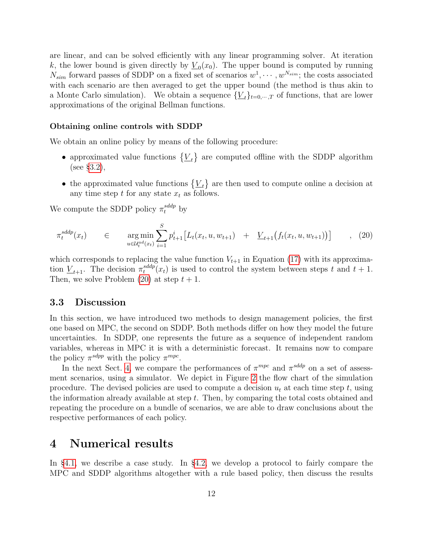are linear, and can be solved efficiently with any linear programming solver. At iteration k, the lower bound is given directly by  $\underline{V}_0(x_0)$ . The upper bound is computed by running  $N_{sim}$  forward passes of SDDP on a fixed set of scenarios  $w^1, \dots, w^{N_{sim}}$ ; the costs associated with each scenario are then averaged to get the upper bound (the method is thus akin to a Monte Carlo simulation). We obtain a sequence  $\{V_t\}_{t=0,\dots,T}$  of functions, that are lower approximations of the original Bellman functions.

#### Obtaining online controls with SDDP

We obtain an online policy by means of the following procedure:

- approximated value functions  $\{V_t\}$  are computed offline with the SDDP algorithm (see §[3.2\)](#page-9-0),
- <span id="page-11-1"></span>• the approximated value functions  $\{V_t\}$  are then used to compute online a decision at any time step  $t$  for any state  $x_t$  as follows.

We compute the SDDP policy  $\pi_t^{sddp}$  by

$$
\pi_t^{sddp}(x_t) \qquad \in \qquad \mathop{\rm arg\,min}_{u \in \mathcal{U}_t^{ad}(x_t)} \sum_{i=1}^S p_{t+1}^i \big[ L_t(x_t, u, w_{t+1}) + \underline{V}_{t+1} \big( f_t(x_t, u, w_{t+1}) \big) \big] \qquad , \tag{20}
$$

which corresponds to replacing the value function  $V_{t+1}$  in Equation [\(17\)](#page-9-2) with its approximation  $\underline{V}_{t+1}$ . The decision  $\pi_t^{sddp}$  $t_t^{s\alpha}$  $(x_t)$  is used to control the system between steps t and  $t + 1$ . Then, we solve Problem  $(20)$  at step  $t + 1$ .

### 3.3 Discussion

In this section, we have introduced two methods to design management policies, the first one based on MPC, the second on SDDP. Both methods differ on how they model the future uncertainties. In SDDP, one represents the future as a sequence of independent random variables, whereas in MPC it is with a deterministic forecast. It remains now to compare the policy  $\pi^{sdpp}$  with the policy  $\pi^{mpc}$ .

In the next Sect. [4,](#page-11-0) we compare the performances of  $\pi^{mpc}$  and  $\pi^{sddp}$  on a set of assessment scenarios, using a simulator. We depict in Figure [2](#page-12-0) the flow chart of the simulation procedure. The devised policies are used to compute a decision  $u_t$  at each time step t, using the information already available at step t. Then, by comparing the total costs obtained and repeating the procedure on a bundle of scenarios, we are able to draw conclusions about the respective performances of each policy.

# <span id="page-11-0"></span>4 Numerical results

In §[4.1,](#page-12-1) we describe a case study. In §[4.2,](#page-12-2) we develop a protocol to fairly compare the MPC and SDDP algorithms altogether with a rule based policy, then discuss the results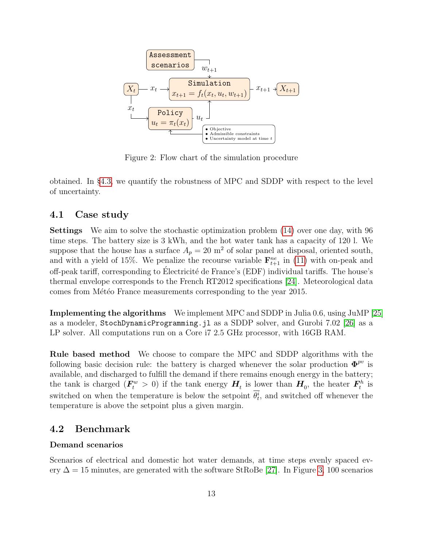

<span id="page-12-0"></span>Figure 2: Flow chart of the simulation procedure

obtained. In §[4.3,](#page-17-0) we quantify the robustness of MPC and SDDP with respect to the level of uncertainty.

# <span id="page-12-1"></span>4.1 Case study

Settings We aim to solve the stochastic optimization problem [\(14\)](#page-8-2) over one day, with 96 time steps. The battery size is 3 kWh, and the hot water tank has a capacity of 120 l. We suppose that the house has a surface  $A_p = 20$  m<sup>2</sup> of solar panel at disposal, oriented south, and with a yield of 15%. We penalize the recourse variable  $\mathbf{F}_{t+1}^{ne}$  in [\(11\)](#page-7-3) with on-peak and off-peak tariff, corresponding to Électricité de France's (EDF) individual tariffs. The house's thermal envelope corresponds to the French RT2012 specifications [\[24\]](#page-21-3). Meteorological data comes from Météo France measurements corresponding to the year 2015.

Implementing the algorithms We implement MPC and SDDP in Julia 0.6, using JuMP [\[25\]](#page-21-4) as a modeler, StochDynamicProgramming.jl as a SDDP solver, and Gurobi 7.02 [\[26\]](#page-21-5) as a LP solver. All computations run on a Core i7 2.5 GHz processor, with 16GB RAM.

Rule based method We choose to compare the MPC and SDDP algorithms with the following basic decision rule: the battery is charged whenever the solar production  $\mathbf{\Phi}^{pv}$  is available, and discharged to fulfill the demand if there remains enough energy in the battery; the tank is charged  $(F_t^w > 0)$  if the tank energy  $H_t$  is lower than  $H_0$ , the heater  $F_t^h$  $t^{h}$  is switched on when the temperature is below the setpoint  $\theta_t^i$ , and switched off whenever the temperature is above the setpoint plus a given margin.

# <span id="page-12-2"></span>4.2 Benchmark

### Demand scenarios

Scenarios of electrical and domestic hot water demands, at time steps evenly spaced every  $\Delta = 15$  minutes, are generated with the software StRoBe [\[27\]](#page-21-6). In Figure [3,](#page-13-0) 100 scenarios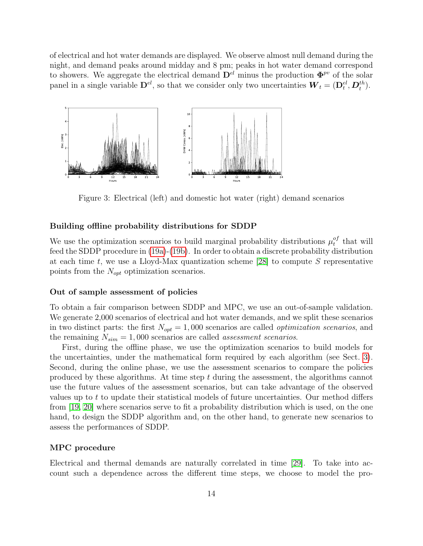of electrical and hot water demands are displayed. We observe almost null demand during the night, and demand peaks around midday and 8 pm; peaks in hot water demand correspond to showers. We aggregate the electrical demand  $\mathbf{D}^{el}$  minus the production  $\mathbf{\Phi}^{pv}$  of the solar panel in a single variable  $\mathbf{D}^{el}$ , so that we consider only two uncertainties  $\boldsymbol{W}_t = (\mathbf{D}_t^{el}, \boldsymbol{D}_t^{th})$ .



<span id="page-13-0"></span>Figure 3: Electrical (left) and domestic hot water (right) demand scenarios

### Building offline probability distributions for SDDP

We use the optimization scenarios to build marginal probability distributions  $\mu_t^{of}$  $t^{of}$  that will feed the SDDP procedure in [\(19a\)](#page-10-1)-[\(19b\)](#page-10-0). In order to obtain a discrete probability distribution at each time t, we use a Lloyd-Max quantization scheme  $[28]$  to compute S representative points from the  $N_{opt}$  optimization scenarios.

### Out of sample assessment of policies

To obtain a fair comparison between SDDP and MPC, we use an out-of-sample validation. We generate 2,000 scenarios of electrical and hot water demands, and we split these scenarios in two distinct parts: the first  $N_{opt} = 1,000$  scenarios are called *optimization scenarios*, and the remaining  $N_{sim} = 1,000$  scenarios are called *assessment scenarios*.

First, during the offline phase, we use the optimization scenarios to build models for the uncertainties, under the mathematical form required by each algorithm (see Sect. [3\)](#page-8-0). Second, during the online phase, we use the assessment scenarios to compare the policies produced by these algorithms. At time step  $t$  during the assessment, the algorithms cannot use the future values of the assessment scenarios, but can take advantage of the observed values up to t to update their statistical models of future uncertainties. Our method differs from [\[19,](#page-20-10) [20\]](#page-20-11) where scenarios serve to fit a probability distribution which is used, on the one hand, to design the SDDP algorithm and, on the other hand, to generate new scenarios to assess the performances of SDDP.

#### MPC procedure

Electrical and thermal demands are naturally correlated in time [\[29\]](#page-21-8). To take into account such a dependence across the different time steps, we choose to model the pro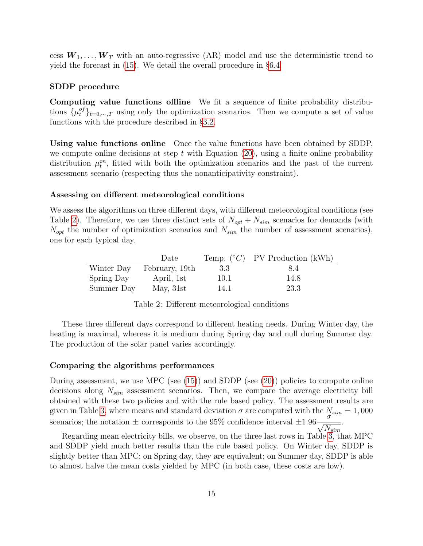cess  $W_1, \ldots, W_T$  with an auto-regressive (AR) model and use the deterministic trend to yield the forecast in [\(15\)](#page-8-6). We detail the overall procedure in §[6.4.](#page-23-0)

### SDDP procedure

Computing value functions offline We fit a sequence of finite probability distributions  $\{\mu_t^{of}\}_{t=0,\dots,T}$  using only the optimization scenarios. Then we compute a set of value functions with the procedure described in §[3.2.](#page-9-0)

Using value functions online Once the value functions have been obtained by SDDP, we compute online decisions at step t with Equation  $(20)$ , using a finite online probability distribution  $\mu_t^{on}$ , fitted with both the optimization scenarios and the past of the current assessment scenario (respecting thus the nonanticipativity constraint).

### Assessing on different meteorological conditions

We assess the algorithms on three different days, with different meteorological conditions (see Table [2\)](#page-14-0). Therefore, we use three distinct sets of  $N_{opt} + N_{sim}$  scenarios for demands (with  $N_{opt}$  the number of optimization scenarios and  $N_{sim}$  the number of assessment scenarios), one for each typical day.

|            | Date           |      | Temp. $({}^{\circ}C)$ PV Production (kWh) |
|------------|----------------|------|-------------------------------------------|
| Winter Day | February, 19th | 3.3  | 8.4                                       |
| Spring Day | April, 1st     | 10.1 | 14.8                                      |
| Summer Day | May, $31st$    | 14.1 | 23.3                                      |

<span id="page-14-0"></span>Table 2: Different meteorological conditions

These three different days correspond to different heating needs. During Winter day, the heating is maximal, whereas it is medium during Spring day and null during Summer day. The production of the solar panel varies accordingly.

#### Comparing the algorithms performances

During assessment, we use MPC (see  $(15)$ ) and SDDP (see  $(20)$ ) policies to compute online decisions along  $N_{sim}$  assessment scenarios. Then, we compare the average electricity bill obtained with these two policies and with the rule based policy. The assessment results are given in Table [3,](#page-15-0) where means and standard deviation  $\sigma$  are computed with the  $N_{sim} = 1,000$ scenarios; the notation  $\pm$  corresponds to the 95% confidence interval  $\pm 1.96 - \frac{\sigma}{\sqrt{25}}$  $N_{sim}$ .

Regarding mean electricity bills, we observe, on the three last rows in Table [3,](#page-15-0) that MPC and SDDP yield much better results than the rule based policy. On Winter day, SDDP is slightly better than MPC; on Spring day, they are equivalent; on Summer day, SDDP is able to almost halve the mean costs yielded by MPC (in both case, these costs are low).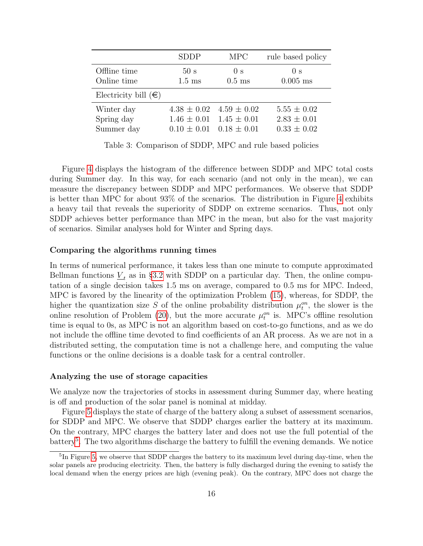|                               | <b>SDDP</b>                         | <b>MPC</b>                         | rule based policy                  |
|-------------------------------|-------------------------------------|------------------------------------|------------------------------------|
| Offline time<br>Online time   | 50 <sub>s</sub><br>$1.5 \text{ ms}$ | 0 <sub>s</sub><br>$0.5$ ms         | 0 <sub>s</sub><br>$0.005$ ms       |
| Electricity bill $(\epsilon)$ |                                     |                                    |                                    |
| Winter day<br>Spring day      | $4.38 \pm 0.02$<br>$1.46 \pm 0.01$  | $4.59 \pm 0.02$<br>$1.45 \pm 0.01$ | $5.55 \pm 0.02$<br>$2.83 \pm 0.01$ |
| Summer day                    | $0.10 \pm 0.01$                     | $0.18 \pm 0.01$                    | $0.33 \pm 0.02$                    |

<span id="page-15-0"></span>Table 3: Comparison of SDDP, MPC and rule based policies

Figure [4](#page-16-0) displays the histogram of the difference between SDDP and MPC total costs during Summer day. In this way, for each scenario (and not only in the mean), we can measure the discrepancy between SDDP and MPC performances. We observe that SDDP is better than MPC for about 93% of the scenarios. The distribution in Figure [4](#page-16-0) exhibits a heavy tail that reveals the superiority of SDDP on extreme scenarios. Thus, not only SDDP achieves better performance than MPC in the mean, but also for the vast majority of scenarios. Similar analyses hold for Winter and Spring days.

### Comparing the algorithms running times

In terms of numerical performance, it takes less than one minute to compute approximated Bellman functions  $\underline{V}_t$  as in §[3.2](#page-9-0) with SDDP on a particular day. Then, the online computation of a single decision takes 1.5 ms on average, compared to 0.5 ms for MPC. Indeed, MPC is favored by the linearity of the optimization Problem [\(15\)](#page-8-6), whereas, for SDDP, the higher the quantization size S of the online probability distribution  $\mu_t^{on}$ , the slower is the online resolution of Problem [\(20\)](#page-11-1), but the more accurate  $\mu_t^{on}$  is. MPC's offline resolution time is equal to 0s, as MPC is not an algorithm based on cost-to-go functions, and as we do not include the offline time devoted to find coefficients of an AR process. As we are not in a distributed setting, the computation time is not a challenge here, and computing the value functions or the online decisions is a doable task for a central controller.

#### Analyzing the use of storage capacities

We analyze now the trajectories of stocks in assessment during Summer day, where heating is off and production of the solar panel is nominal at midday.

Figure [5](#page-16-1) displays the state of charge of the battery along a subset of assessment scenarios, for SDDP and MPC. We observe that SDDP charges earlier the battery at its maximum. On the contrary, MPC charges the battery later and does not use the full potential of the battery<sup>[5](#page-15-1)</sup>. The two algorithms discharge the battery to fulfill the evening demands. We notice

<span id="page-15-1"></span><sup>&</sup>lt;sup>5</sup>In Figure [5,](#page-16-1) we observe that SDDP charges the battery to its maximum level during day-time, when the solar panels are producing electricity. Then, the battery is fully discharged during the evening to satisfy the local demand when the energy prices are high (evening peak). On the contrary, MPC does not charge the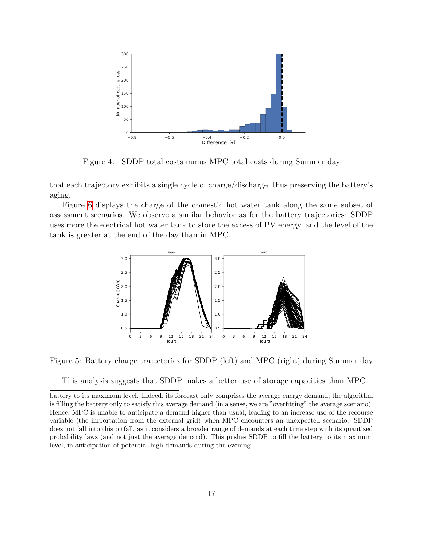

<span id="page-16-0"></span>Figure 4: SDDP total costs minus MPC total costs during Summer day

that each trajectory exhibits a single cycle of charge/discharge, thus preserving the battery's aging.

Figure [6](#page-17-1) displays the charge of the domestic hot water tank along the same subset of assessment scenarios. We observe a similar behavior as for the battery trajectories: SDDP uses more the electrical hot water tank to store the excess of PV energy, and the level of the tank is greater at the end of the day than in MPC.



Figure 5: Battery charge trajectories for SDDP (left) and MPC (right) during Summer day

<span id="page-16-1"></span>This analysis suggests that SDDP makes a better use of storage capacities than MPC.

battery to its maximum level. Indeed, its forecast only comprises the average energy demand; the algorithm is filling the battery only to satisfy this average demand (in a sense, we are "overfitting" the average scenario). Hence, MPC is unable to anticipate a demand higher than usual, leading to an increase use of the recourse variable (the importation from the external grid) when MPC encounters an unexpected scenario. SDDP does not fall into this pitfall, as it considers a broader range of demands at each time step with its quantized probability laws (and not just the average demand). This pushes SDDP to fill the battery to its maximum level, in anticipation of potential high demands during the evening.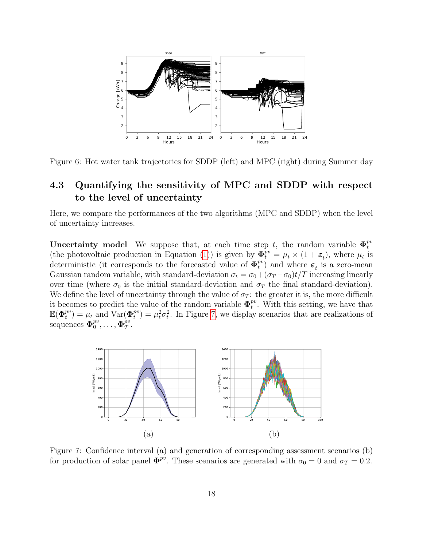

<span id="page-17-1"></span>Figure 6: Hot water tank trajectories for SDDP (left) and MPC (right) during Summer day

# <span id="page-17-0"></span>4.3 Quantifying the sensitivity of MPC and SDDP with respect to the level of uncertainty

Here, we compare the performances of the two algorithms (MPC and SDDP) when the level of uncertainty increases.

**Uncertainty model** We suppose that, at each time step t, the random variable  $\Phi_t^{pv}$ t (the photovoltaic production in Equation [\(1\)](#page-5-2)) is given by  $\Phi_t^{pv} = \mu_t \times (1 + \epsilon_t)$ , where  $\mu_t$  is deterministic (it corresponds to the forecasted value of  $\Phi_t^{pv}$  $t_t^{pv}$ ) and where  $\varepsilon_t$  is a zero-mean Gaussian random variable, with standard-deviation  $\sigma_t = \sigma_0 + (\sigma_T - \sigma_0)t/T$  increasing linearly over time (where  $\sigma_0$  is the initial standard-deviation and  $\sigma_T$  the final standard-deviation). We define the level of uncertainty through the value of  $\sigma_T$ : the greater it is, the more difficult it becomes to predict the value of the random variable  $\Phi_t^{pv}$  $t^{pv}$ . With this setting, we have that  $\mathbb{E}(\Phi_t^{pv}$  $t_t^{pv}$ ) =  $\mu_t$  and Var( $\Phi_t^{pv}$  $t_t^{pv}$  =  $\mu_t^2 \sigma_t^2$ . In Figure [7,](#page-17-2) we display scenarios that are realizations of sequences  $\pmb{\Phi}_0^{pv}$  $_0^{pv},\ldots,\mathbf{\Phi}_T^{pv}$  $_{T}^{pv}.$ 



<span id="page-17-2"></span>Figure 7: Confidence interval (a) and generation of corresponding assessment scenarios (b) for production of solar panel  $\Phi^{pv}$ . These scenarios are generated with  $\sigma_0 = 0$  and  $\sigma_T = 0.2$ .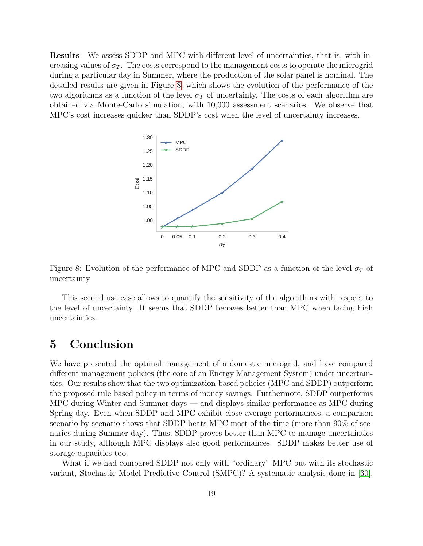Results We assess SDDP and MPC with different level of uncertainties, that is, with increasing values of  $\sigma_T$ . The costs correspond to the management costs to operate the microgrid during a particular day in Summer, where the production of the solar panel is nominal. The detailed results are given in Figure [8,](#page-18-1) which shows the evolution of the performance of the two algorithms as a function of the level  $\sigma_T$  of uncertainty. The costs of each algorithm are obtained via Monte-Carlo simulation, with 10,000 assessment scenarios. We observe that MPC's cost increases quicker than SDDP's cost when the level of uncertainty increases.



<span id="page-18-1"></span>Figure 8: Evolution of the performance of MPC and SDDP as a function of the level  $\sigma_T$  of uncertainty

This second use case allows to quantify the sensitivity of the algorithms with respect to the level of uncertainty. It seems that SDDP behaves better than MPC when facing high uncertainties.

# <span id="page-18-0"></span>5 Conclusion

We have presented the optimal management of a domestic microgrid, and have compared different management policies (the core of an Energy Management System) under uncertainties. Our results show that the two optimization-based policies (MPC and SDDP) outperform the proposed rule based policy in terms of money savings. Furthermore, SDDP outperforms MPC during Winter and Summer days — and displays similar performance as MPC during Spring day. Even when SDDP and MPC exhibit close average performances, a comparison scenario by scenario shows that SDDP beats MPC most of the time (more than 90% of scenarios during Summer day). Thus, SDDP proves better than MPC to manage uncertainties in our study, although MPC displays also good performances. SDDP makes better use of storage capacities too.

What if we had compared SDDP not only with "ordinary" MPC but with its stochastic variant, Stochastic Model Predictive Control (SMPC)? A systematic analysis done in [\[30\]](#page-21-9),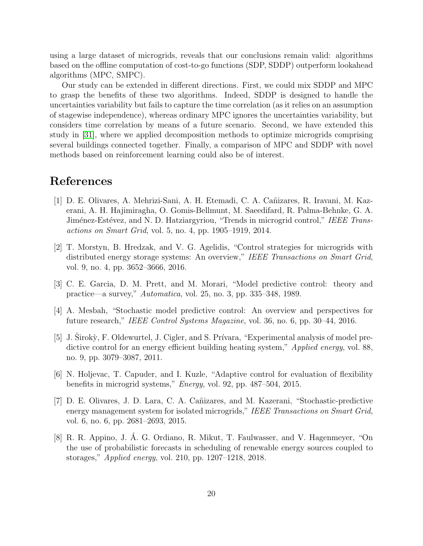using a large dataset of microgrids, reveals that our conclusions remain valid: algorithms based on the offline computation of cost-to-go functions (SDP, SDDP) outperform lookahead algorithms (MPC, SMPC).

Our study can be extended in different directions. First, we could mix SDDP and MPC to grasp the benefits of these two algorithms. Indeed, SDDP is designed to handle the uncertainties variability but fails to capture the time correlation (as it relies on an assumption of stagewise independence), whereas ordinary MPC ignores the uncertainties variability, but considers time correlation by means of a future scenario. Second, we have extended this study in [\[31\]](#page-21-10), where we applied decomposition methods to optimize microgrids comprising several buildings connected together. Finally, a comparison of MPC and SDDP with novel methods based on reinforcement learning could also be of interest.

# References

- <span id="page-19-0"></span>[1] D. E. Olivares, A. Mehrizi-Sani, A. H. Etemadi, C. A. Cañizares, R. Iravani, M. Kazerani, A. H. Hajimiragha, O. Gomis-Bellmunt, M. Saeedifard, R. Palma-Behnke, G. A. Jiménez-Estévez, and N. D. Hatziargyriou, "Trends in microgrid control," IEEE Transactions on Smart Grid, vol. 5, no. 4, pp. 1905–1919, 2014.
- <span id="page-19-1"></span>[2] T. Morstyn, B. Hredzak, and V. G. Agelidis, "Control strategies for microgrids with distributed energy storage systems: An overview," IEEE Transactions on Smart Grid, vol. 9, no. 4, pp. 3652–3666, 2016.
- <span id="page-19-2"></span>[3] C. E. Garcia, D. M. Prett, and M. Morari, "Model predictive control: theory and practice—a survey," Automatica, vol. 25, no. 3, pp. 335–348, 1989.
- <span id="page-19-3"></span>[4] A. Mesbah, "Stochastic model predictive control: An overview and perspectives for future research," IEEE Control Systems Magazine, vol. 36, no. 6, pp. 30–44, 2016.
- <span id="page-19-4"></span>[5] J. Sirokỳ, F. Oldewurtel, J. Cigler, and S. Prívara, "Experimental analysis of model predictive control for an energy efficient building heating system," *Applied energy*, vol. 88, no. 9, pp. 3079–3087, 2011.
- <span id="page-19-5"></span>[6] N. Holjevac, T. Capuder, and I. Kuzle, "Adaptive control for evaluation of flexibility benefits in microgrid systems," Energy, vol. 92, pp. 487–504, 2015.
- <span id="page-19-6"></span>[7] D. E. Olivares, J. D. Lara, C. A. Cañizares, and M. Kazerani, "Stochastic-predictive energy management system for isolated microgrids," IEEE Transactions on Smart Grid, vol. 6, no. 6, pp. 2681–2693, 2015.
- <span id="page-19-7"></span>[8] R. R. Appino, J. A. G. Ordiano, R. Mikut, T. Faulwasser, and V. Hagenmeyer, "On ´ the use of probabilistic forecasts in scheduling of renewable energy sources coupled to storages," Applied energy, vol. 210, pp. 1207–1218, 2018.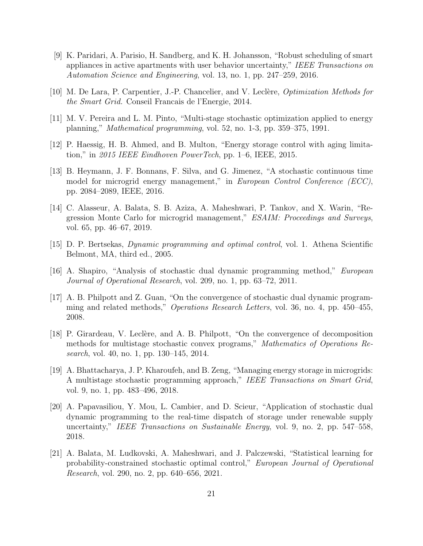- <span id="page-20-0"></span>[9] K. Paridari, A. Parisio, H. Sandberg, and K. H. Johansson, "Robust scheduling of smart appliances in active apartments with user behavior uncertainty," IEEE Transactions on Automation Science and Engineering, vol. 13, no. 1, pp. 247–259, 2016.
- <span id="page-20-1"></span>[10] M. De Lara, P. Carpentier, J.-P. Chancelier, and V. Leclère, *Optimization Methods for* the Smart Grid. Conseil Francais de l'Energie, 2014.
- <span id="page-20-2"></span>[11] M. V. Pereira and L. M. Pinto, "Multi-stage stochastic optimization applied to energy planning," Mathematical programming, vol. 52, no. 1-3, pp. 359–375, 1991.
- <span id="page-20-3"></span>[12] P. Haessig, H. B. Ahmed, and B. Multon, "Energy storage control with aging limitation," in 2015 IEEE Eindhoven PowerTech, pp.  $1-6$ , IEEE, 2015.
- <span id="page-20-4"></span>[13] B. Heymann, J. F. Bonnans, F. Silva, and G. Jimenez, "A stochastic continuous time model for microgrid energy management," in European Control Conference (ECC), pp. 2084–2089, IEEE, 2016.
- <span id="page-20-5"></span>[14] C. Alasseur, A. Balata, S. B. Aziza, A. Maheshwari, P. Tankov, and X. Warin, "Regression Monte Carlo for microgrid management," ESAIM: Proceedings and Surveys, vol. 65, pp. 46–67, 2019.
- <span id="page-20-6"></span>[15] D. P. Bertsekas, Dynamic programming and optimal control, vol. 1. Athena Scientific Belmont, MA, third ed., 2005.
- <span id="page-20-7"></span>[16] A. Shapiro, "Analysis of stochastic dual dynamic programming method," European Journal of Operational Research, vol. 209, no. 1, pp. 63–72, 2011.
- <span id="page-20-8"></span>[17] A. B. Philpott and Z. Guan, "On the convergence of stochastic dual dynamic programming and related methods," Operations Research Letters, vol. 36, no. 4, pp. 450–455, 2008.
- <span id="page-20-9"></span>[18] P. Girardeau, V. Leclère, and A. B. Philpott, "On the convergence of decomposition methods for multistage stochastic convex programs," Mathematics of Operations Research, vol. 40, no. 1, pp. 130–145, 2014.
- <span id="page-20-10"></span>[19] A. Bhattacharya, J. P. Kharoufeh, and B. Zeng, "Managing energy storage in microgrids: A multistage stochastic programming approach," IEEE Transactions on Smart Grid, vol. 9, no. 1, pp. 483–496, 2018.
- <span id="page-20-11"></span>[20] A. Papavasiliou, Y. Mou, L. Cambier, and D. Scieur, "Application of stochastic dual dynamic programming to the real-time dispatch of storage under renewable supply uncertainty," IEEE Transactions on Sustainable Energy, vol. 9, no. 2, pp. 547–558, 2018.
- <span id="page-20-12"></span>[21] A. Balata, M. Ludkovski, A. Maheshwari, and J. Palczewski, "Statistical learning for probability-constrained stochastic optimal control," European Journal of Operational Research, vol. 290, no. 2, pp. 640–656, 2021.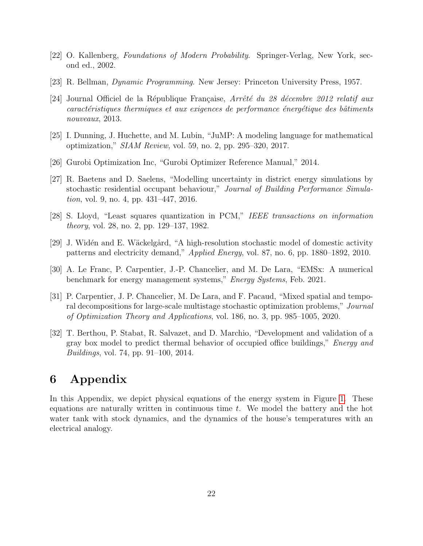- <span id="page-21-1"></span>[22] O. Kallenberg, Foundations of Modern Probability. Springer-Verlag, New York, second ed., 2002.
- <span id="page-21-2"></span>[23] R. Bellman, Dynamic Programming. New Jersey: Princeton University Press, 1957.
- <span id="page-21-3"></span>[24] Journal Officiel de la République Française, Arrêté du 28 décembre 2012 relatif aux caractéristiques thermiques et aux exigences de performance énergétique des bâtiments nouveaux, 2013.
- <span id="page-21-4"></span>[25] I. Dunning, J. Huchette, and M. Lubin, "JuMP: A modeling language for mathematical optimization,"  $SIAM$  Review, vol. 59, no. 2, pp. 295–320, 2017.
- <span id="page-21-5"></span>[26] Gurobi Optimization Inc, "Gurobi Optimizer Reference Manual," 2014.
- <span id="page-21-6"></span>[27] R. Baetens and D. Saelens, "Modelling uncertainty in district energy simulations by stochastic residential occupant behaviour," Journal of Building Performance Simulation, vol. 9, no. 4, pp. 431–447, 2016.
- <span id="page-21-7"></span>[28] S. Lloyd, "Least squares quantization in PCM," IEEE transactions on information theory, vol. 28, no. 2, pp. 129–137, 1982.
- <span id="page-21-8"></span>[29] J. Widén and E. Wäckelgård, "A high-resolution stochastic model of domestic activity patterns and electricity demand," Applied Energy, vol. 87, no. 6, pp. 1880–1892, 2010.
- <span id="page-21-9"></span>[30] A. Le Franc, P. Carpentier, J.-P. Chancelier, and M. De Lara, "EMSx: A numerical benchmark for energy management systems," *Energy Systems*, Feb. 2021.
- <span id="page-21-10"></span>[31] P. Carpentier, J. P. Chancelier, M. De Lara, and F. Pacaud, "Mixed spatial and temporal decompositions for large-scale multistage stochastic optimization problems," Journal of Optimization Theory and Applications, vol. 186, no. 3, pp. 985–1005, 2020.
- <span id="page-21-11"></span>[32] T. Berthou, P. Stabat, R. Salvazet, and D. Marchio, "Development and validation of a gray box model to predict thermal behavior of occupied office buildings," *Energy and* Buildings, vol. 74, pp. 91–100, 2014.

# <span id="page-21-0"></span>6 Appendix

In this Appendix, we depict physical equations of the energy system in Figure [1.](#page-4-0) These equations are naturally written in continuous time  $t$ . We model the battery and the hot water tank with stock dynamics, and the dynamics of the house's temperatures with an electrical analogy.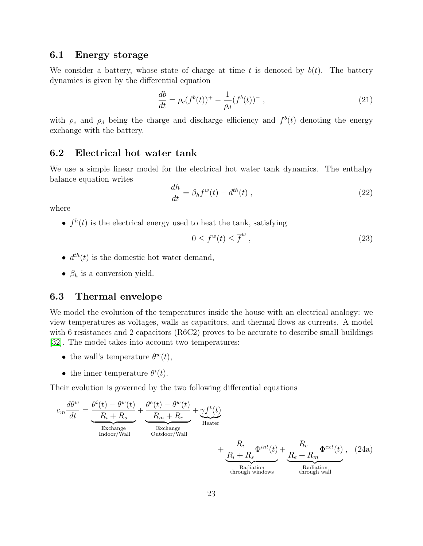# 6.1 Energy storage

We consider a battery, whose state of charge at time t is denoted by  $b(t)$ . The battery dynamics is given by the differential equation

<span id="page-22-0"></span>
$$
\frac{db}{dt} = \rho_c(f^b(t))^+ - \frac{1}{\rho_d}(f^b(t))^-, \qquad (21)
$$

with  $\rho_c$  and  $\rho_d$  being the charge and discharge efficiency and  $f^b(t)$  denoting the energy exchange with the battery.

# 6.2 Electrical hot water tank

We use a simple linear model for the electrical hot water tank dynamics. The enthalpy balance equation writes

<span id="page-22-1"></span>
$$
\frac{dh}{dt} = \beta_h f^w(t) - d^{th}(t) \;, \tag{22}
$$

where

•  $f<sup>h</sup>(t)$  is the electrical energy used to heat the tank, satisfying

<span id="page-22-2"></span>
$$
0 \le f^w(t) \le \overline{f}^w \tag{23}
$$

- $d^{th}(t)$  is the domestic hot water demand,
- $\beta_h$  is a conversion yield.

# 6.3 Thermal envelope

We model the evolution of the temperatures inside the house with an electrical analogy: we view temperatures as voltages, walls as capacitors, and thermal flows as currents. A model with 6 resistances and 2 capacitors (R6C2) proves to be accurate to describe small buildings [\[32\]](#page-21-11). The model takes into account two temperatures:

- the wall's temperature  $\theta^w(t)$ ,
- the inner temperature  $\theta^i(t)$ .

Their evolution is governed by the two following differential equations

$$
c_m \frac{d\theta^w}{dt} = \underbrace{\frac{\theta^i(t) - \theta^w(t)}{R_i + R_s}}_{\text{Exchange}} + \underbrace{\frac{\theta^e(t) - \theta^w(t)}{R_m + R_e}}_{\text{Outdoor/Wall}} + \underbrace{\frac{R_i}{R_i + R_s}}_{\text{Hedter}} + \underbrace{\frac{R_i}{R_i + R_s}}_{\text{Radiation}} + \underbrace{\frac{R_e}{R_e + R_m}}_{\text{Equation through windows}} + \underbrace{\frac{R_e}{R_e + R_m}}_{\text{theological window}} \tag{24a}
$$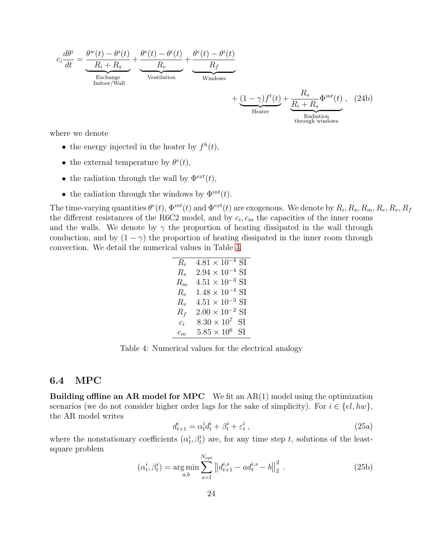$$
c_i \frac{d\theta^i}{dt} = \underbrace{\frac{\theta^w(t) - \theta^i(t)}{R_i + R_s}}_{\text{Exchange}} + \underbrace{\frac{\theta^e(t) - \theta^i(t)}{R_v}}_{\text{Ventialation}} + \underbrace{\frac{\theta^e(t) - \theta^i(t)}{R_f}}_{\text{Windows}} + \underbrace{(1 - \gamma)f^t(t)}_{\text{Heater}} + \underbrace{\frac{R_s}{R_i + R_s}}_{\text{Radiation}} \Phi^{int}(t), \quad (24b)
$$

where we denote

- the energy injected in the heater by  $f^h(t)$ ,
- the external temperature by  $\theta^e(t)$ ,
- the radiation through the wall by  $\Phi^{ext}(t)$ ,
- the radiation through the windows by  $\Phi^{int}(t)$ .

The time-varying quantities  $\theta^e(t)$ ,  $\Phi^{int}(t)$  and  $\Phi^{ext}(t)$  are exogenous. We denote by  $R_i$ ,  $R_s$ ,  $R_m$ ,  $R_e$ ,  $R_v$ ,  $R_f$ the different resistances of the R6C2 model, and by  $c_i$ ,  $c_m$  the capacities of the inner rooms and the walls. We denote by  $\gamma$  the proportion of heating dissipated in the wall through conduction, and by  $(1 - \gamma)$  the proportion of heating dissipated in the inner room through convection. We detail the numerical values in Table [4.](#page-23-1)

> $R_i$  4.81 × 10<sup>-4</sup> SI  $R_s$  2.94 × 10<sup>-4</sup> SI  $R_m$  4.51 × 10<sup>-3</sup> SI  $R_e$  1.48 × 10<sup>-4</sup> SI  $R_v$  4.51 × 10<sup>-3</sup> SI  $R_f$  2.00 × 10<sup>-2</sup> SI  $c_i$  8.30 × 10<sup>7</sup> SI  $c_m$  5.85 × 10<sup>6</sup> SI

<span id="page-23-1"></span>Table 4: Numerical values for the electrical analogy

# <span id="page-23-0"></span>6.4 MPC

**Building offline an AR model for MPC** We fit an  $AR(1)$  model using the optimization scenarios (we do not consider higher order lags for the sake of simplicity). For  $i \in \{el, hw\}$ , the AR model writes

$$
d_{t+1}^i = \alpha_t^i d_t^i + \beta_t^i + \varepsilon_t^i \,, \tag{25a}
$$

where the nonstationary coefficients  $(\alpha_t^i, \beta_t^i)$  are, for any time step t, solutions of the leastsquare problem

$$
(\alpha_t^i, \beta_t^i) = \underset{a,b}{\text{arg min}} \sum_{s=1}^{N_{opt}} \left\| d_{t+1}^{i,s} - ad_t^{i,s} - b \right\|_2^2 \,. \tag{25b}
$$